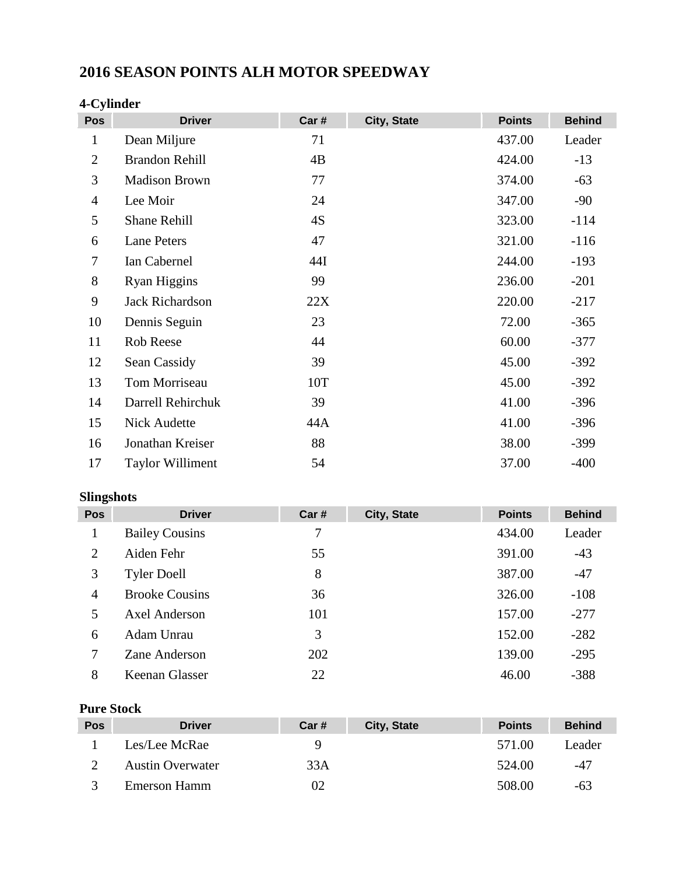# **2016 SEASON POINTS ALH MOTOR SPEEDWAY**

| Pos            | <b>Driver</b>           | Car# | City, State | <b>Points</b> | <b>Behind</b> |
|----------------|-------------------------|------|-------------|---------------|---------------|
| $\mathbf{1}$   | Dean Miljure            | 71   |             | 437.00        | Leader        |
| $\overline{2}$ | <b>Brandon Rehill</b>   | 4B   |             | 424.00        | $-13$         |
| 3              | <b>Madison Brown</b>    | 77   |             | 374.00        | $-63$         |
| $\overline{4}$ | Lee Moir                | 24   |             | 347.00        | $-90$         |
| 5              | <b>Shane Rehill</b>     | 4S   |             | 323.00        | $-114$        |
| 6              | <b>Lane Peters</b>      | 47   |             | 321.00        | $-116$        |
| 7              | Ian Cabernel            | 44I  |             | 244.00        | $-193$        |
| 8              | <b>Ryan Higgins</b>     | 99   |             | 236.00        | $-201$        |
| 9              | Jack Richardson         | 22X  |             | 220.00        | $-217$        |
| 10             | Dennis Seguin           | 23   |             | 72.00         | $-365$        |
| 11             | Rob Reese               | 44   |             | 60.00         | $-377$        |
| 12             | Sean Cassidy            | 39   |             | 45.00         | $-392$        |
| 13             | Tom Morriseau           | 10T  |             | 45.00         | $-392$        |
| 14             | Darrell Rehirchuk       | 39   |             | 41.00         | $-396$        |
| 15             | <b>Nick Audette</b>     | 44A  |             | 41.00         | $-396$        |
| 16             | Jonathan Kreiser        | 88   |             | 38.00         | $-399$        |
| 17             | <b>Taylor Williment</b> | 54   |             | 37.00         | $-400$        |

#### **4-Cylinder**

#### **Slingshots**

| ---- <del>-</del> ----- |                       |       |             |               |               |
|-------------------------|-----------------------|-------|-------------|---------------|---------------|
| <b>Pos</b>              | <b>Driver</b>         | Car # | City, State | <b>Points</b> | <b>Behind</b> |
|                         | <b>Bailey Cousins</b> | 7     |             | 434.00        | Leader        |
| 2                       | Aiden Fehr            | 55    |             | 391.00        | $-43$         |
| 3                       | <b>Tyler Doell</b>    | 8     |             | 387.00        | $-47$         |
| $\overline{4}$          | <b>Brooke Cousins</b> | 36    |             | 326.00        | $-108$        |
| 5                       | <b>Axel Anderson</b>  | 101   |             | 157.00        | $-277$        |
| 6                       | Adam Unrau            | 3     |             | 152.00        | $-282$        |
| 7                       | Zane Anderson         | 202   |             | 139.00        | $-295$        |
| 8                       | Keenan Glasser        | 22    |             | 46.00         | $-388$        |

## **Pure Stock**

| <b>Pos</b> | <b>Driver</b>           | Car# | City, State | <b>Points</b> | <b>Behind</b> |
|------------|-------------------------|------|-------------|---------------|---------------|
|            | Les/Lee McRae           |      |             | 571.00        | Leader        |
|            | <b>Austin Overwater</b> | 33A  |             | 524.00        | -47           |
|            | Emerson Hamm            | 02   |             | 508.00        | -63           |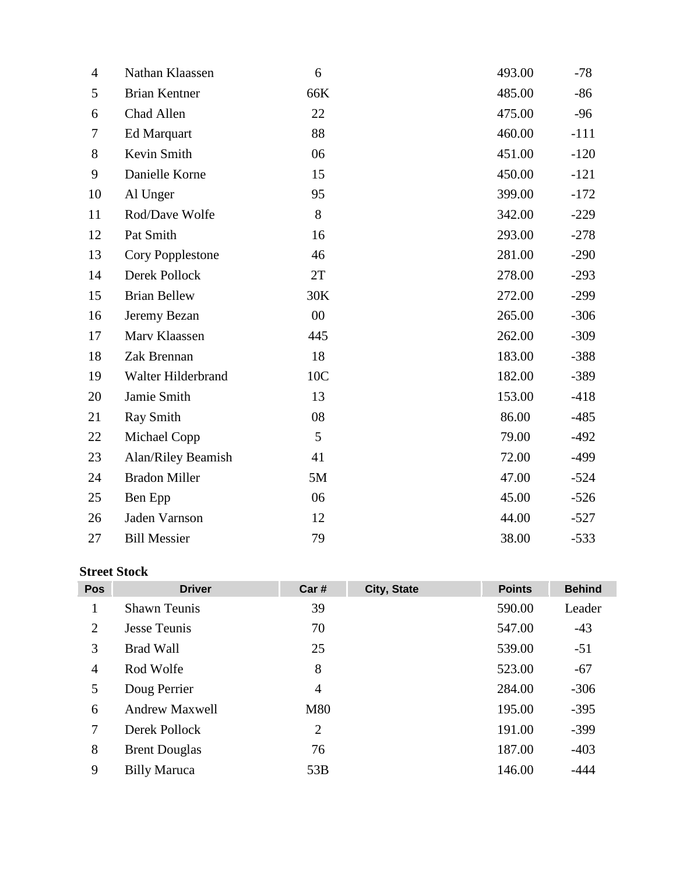| $\overline{4}$ | Nathan Klaassen      | 6      | 493.00 | $-78$  |
|----------------|----------------------|--------|--------|--------|
| 5              | <b>Brian Kentner</b> | 66K    | 485.00 | $-86$  |
| 6              | Chad Allen           | 22     | 475.00 | $-96$  |
| 7              | <b>Ed Marquart</b>   | 88     | 460.00 | $-111$ |
| 8              | Kevin Smith          | 06     | 451.00 | $-120$ |
| 9              | Danielle Korne       | 15     | 450.00 | $-121$ |
| 10             | Al Unger             | 95     | 399.00 | $-172$ |
| 11             | Rod/Dave Wolfe       | 8      | 342.00 | $-229$ |
| 12             | Pat Smith            | 16     | 293.00 | $-278$ |
| 13             | Cory Popplestone     | 46     | 281.00 | $-290$ |
| 14             | Derek Pollock        | 2T     | 278.00 | $-293$ |
| 15             | <b>Brian Bellew</b>  | 30K    | 272.00 | $-299$ |
| 16             | Jeremy Bezan         | $00\,$ | 265.00 | $-306$ |
| 17             | Marv Klaassen        | 445    | 262.00 | $-309$ |
| 18             | Zak Brennan          | 18     | 183.00 | $-388$ |
| 19             | Walter Hilderbrand   | 10C    | 182.00 | $-389$ |
| 20             | Jamie Smith          | 13     | 153.00 | $-418$ |
| 21             | Ray Smith            | 08     | 86.00  | $-485$ |
| 22             | Michael Copp         | 5      | 79.00  | $-492$ |
| 23             | Alan/Riley Beamish   | 41     | 72.00  | $-499$ |
| 24             | <b>Bradon Miller</b> | 5M     | 47.00  | $-524$ |
| 25             | Ben Epp              | 06     | 45.00  | $-526$ |
| 26             | Jaden Varnson        | 12     | 44.00  | $-527$ |
| 27             | <b>Bill Messier</b>  | 79     | 38.00  | $-533$ |

## **Street Stock**

| <b>Pos</b>     | <b>Driver</b>         | Car#           | City, State | <b>Points</b> | <b>Behind</b> |
|----------------|-----------------------|----------------|-------------|---------------|---------------|
| 1              | <b>Shawn Teunis</b>   | 39             |             | 590.00        | Leader        |
| 2              | Jesse Teunis          | 70             |             | 547.00        | $-43$         |
| 3              | <b>Brad Wall</b>      | 25             |             | 539.00        | $-51$         |
| $\overline{4}$ | Rod Wolfe             | 8              |             | 523.00        | $-67$         |
| 5              | Doug Perrier          | $\overline{4}$ |             | 284.00        | $-306$        |
| 6              | <b>Andrew Maxwell</b> | M80            |             | 195.00        | $-395$        |
| 7              | Derek Pollock         | $\overline{2}$ |             | 191.00        | $-399$        |
| 8              | <b>Brent Douglas</b>  | 76             |             | 187.00        | $-403$        |
| 9              | <b>Billy Maruca</b>   | 53B            |             | 146.00        | $-444$        |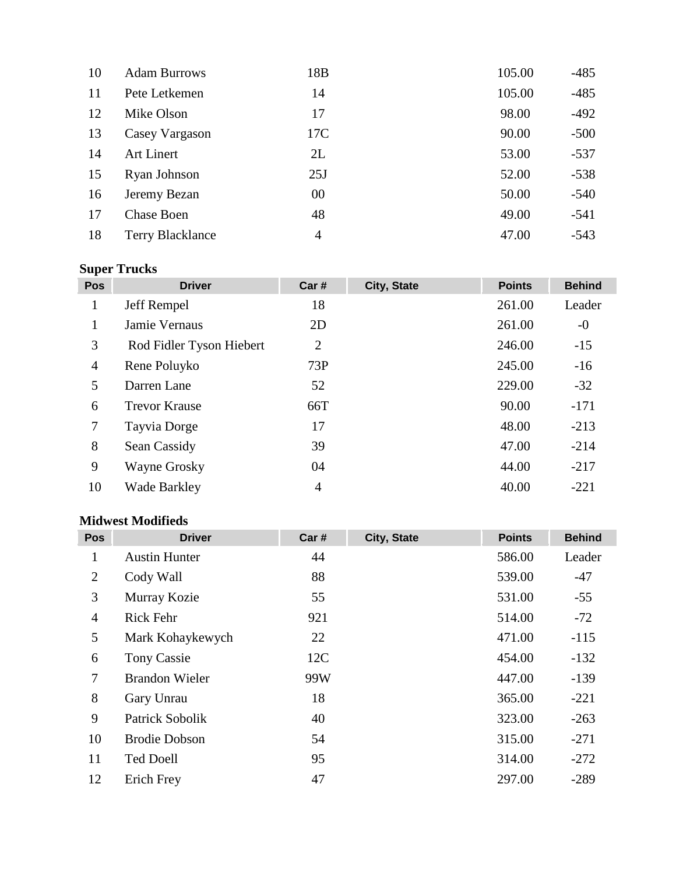| 10 | <b>Adam Burrows</b>     | 18 <sub>B</sub> | 105.00 | $-485$ |
|----|-------------------------|-----------------|--------|--------|
| 11 | Pete Letkemen           | 14              | 105.00 | $-485$ |
| 12 | Mike Olson              | 17              | 98.00  | $-492$ |
| 13 | Casey Vargason          | 17C             | 90.00  | $-500$ |
| 14 | <b>Art Linert</b>       | 2L              | 53.00  | $-537$ |
| 15 | Ryan Johnson            | 25J             | 52.00  | $-538$ |
| 16 | Jeremy Bezan            | 00              | 50.00  | $-540$ |
| 17 | <b>Chase Boen</b>       | 48              | 49.00  | $-541$ |
| 18 | <b>Terry Blacklance</b> | 4               | 47.00  | $-543$ |

# **Super Trucks**

| <b>Pos</b>     | <b>Driver</b>            | Car #          | City, State | <b>Points</b> | <b>Behind</b> |
|----------------|--------------------------|----------------|-------------|---------------|---------------|
| $\mathbf{1}$   | Jeff Rempel              | 18             |             | 261.00        | Leader        |
| 1              | Jamie Vernaus            | 2D             |             | 261.00        | $-0$          |
| 3              | Rod Fidler Tyson Hiebert | $\overline{2}$ |             | 246.00        | $-15$         |
| $\overline{4}$ | Rene Poluyko             | 73P            |             | 245.00        | $-16$         |
| 5              | Darren Lane              | 52             |             | 229.00        | $-32$         |
| 6              | <b>Trevor Krause</b>     | 66T            |             | 90.00         | $-171$        |
| 7              | Tayvia Dorge             | 17             |             | 48.00         | $-213$        |
| 8              | Sean Cassidy             | 39             |             | 47.00         | $-214$        |
| 9              | Wayne Grosky             | 04             |             | 44.00         | $-217$        |
| 10             | <b>Wade Barkley</b>      | 4              |             | 40.00         | $-221$        |

## **Midwest Modifieds**

| <b>Pos</b>     | <b>Driver</b>         | Car # | City, State | <b>Points</b> | <b>Behind</b> |
|----------------|-----------------------|-------|-------------|---------------|---------------|
| 1              | <b>Austin Hunter</b>  | 44    |             | 586.00        | Leader        |
| 2              | Cody Wall             | 88    |             | 539.00        | $-47$         |
| 3              | Murray Kozie          | 55    |             | 531.00        | $-55$         |
| $\overline{4}$ | Rick Fehr             | 921   |             | 514.00        | $-72$         |
| 5              | Mark Kohaykewych      | 22    |             | 471.00        | $-115$        |
| 6              | <b>Tony Cassie</b>    | 12C   |             | 454.00        | $-132$        |
| 7              | <b>Brandon Wieler</b> | 99W   |             | 447.00        | $-139$        |
| 8              | Gary Unrau            | 18    |             | 365.00        | $-221$        |
| 9              | Patrick Sobolik       | 40    |             | 323.00        | $-263$        |
| 10             | <b>Brodie Dobson</b>  | 54    |             | 315.00        | $-271$        |
| 11             | <b>Ted Doell</b>      | 95    |             | 314.00        | $-272$        |
| 12             | Erich Frey            | 47    |             | 297.00        | $-289$        |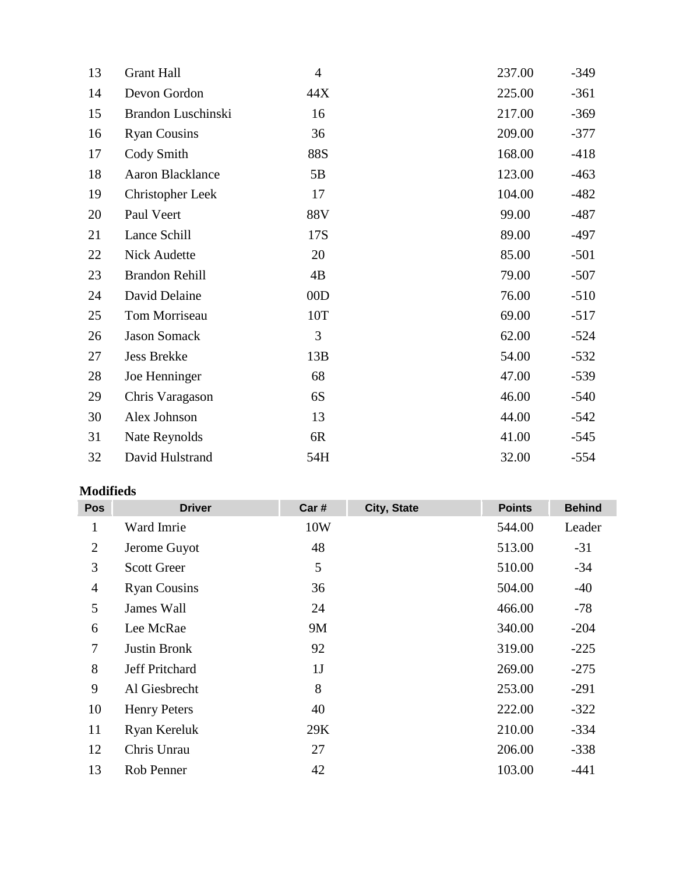| $-349$ |
|--------|
| $-361$ |
| $-369$ |
| $-377$ |
| $-418$ |
| $-463$ |
| $-482$ |
| $-487$ |
| $-497$ |
| $-501$ |
| $-507$ |
| $-510$ |
| $-517$ |
| $-524$ |
| $-532$ |
| $-539$ |
| $-540$ |
| $-542$ |
| $-545$ |
| $-554$ |
|        |

## **Modifieds**

| <b>Pos</b>     | <b>Driver</b>         | Car #          | City, State | <b>Points</b> | <b>Behind</b> |
|----------------|-----------------------|----------------|-------------|---------------|---------------|
| $\mathbf 1$    | Ward Imrie            | 10W            |             | 544.00        | Leader        |
| $\overline{2}$ | Jerome Guyot          | 48             |             | 513.00        | $-31$         |
| 3              | <b>Scott Greer</b>    | 5              |             | 510.00        | $-34$         |
| $\overline{4}$ | <b>Ryan Cousins</b>   | 36             |             | 504.00        | $-40$         |
| 5              | James Wall            | 24             |             | 466.00        | $-78$         |
| 6              | Lee McRae             | 9M             |             | 340.00        | $-204$        |
| $\tau$         | <b>Justin Bronk</b>   | 92             |             | 319.00        | $-225$        |
| 8              | <b>Jeff Pritchard</b> | 1 <sub>J</sub> |             | 269.00        | $-275$        |
| 9              | Al Giesbrecht         | 8              |             | 253.00        | $-291$        |
| 10             | <b>Henry Peters</b>   | 40             |             | 222.00        | $-322$        |
| 11             | Ryan Kereluk          | 29K            |             | 210.00        | $-334$        |
| 12             | Chris Unrau           | 27             |             | 206.00        | $-338$        |
| 13             | Rob Penner            | 42             |             | 103.00        | $-441$        |